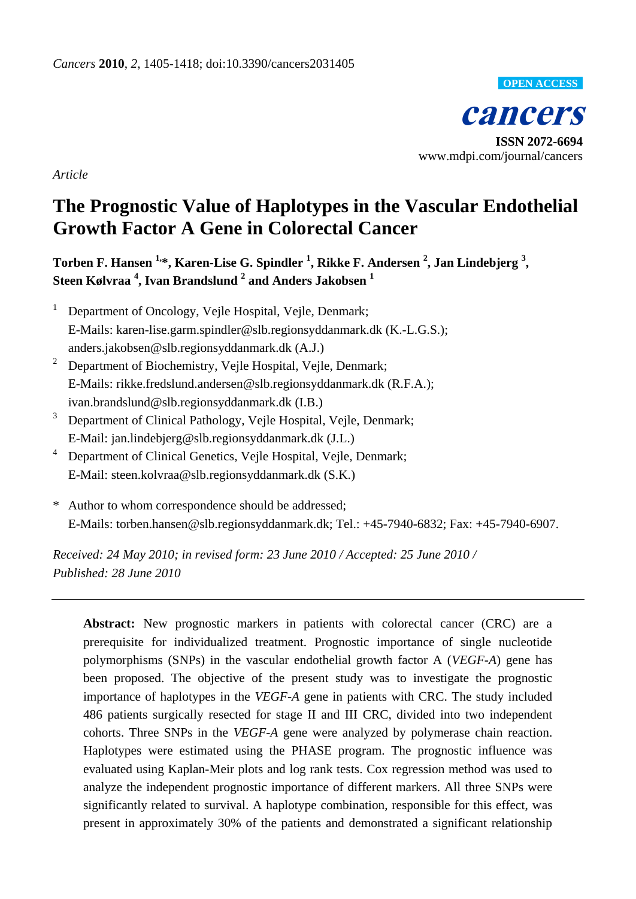

**cancers ISSN 2072-6694** www.mdpi.com/journal/cancers

*Article*

# **The Prognostic Value of Haplotypes in the Vascular Endothelial Growth Factor A Gene in Colorectal Cancer**

**Torben F. Hansen 1,\*, Karen-Lise G. Spindler <sup>1</sup> , Rikke F. Andersen <sup>2</sup> , Jan Lindebjerg <sup>3</sup> , Steen Kølvraa <sup>4</sup> , Ivan Brandslund <sup>2</sup> and Anders Jakobsen <sup>1</sup>**

- <sup>1</sup> Department of Oncology, Vejle Hospital, Vejle, Denmark; E-Mails: karen-lise.garm.spindler@slb.regionsyddanmark.dk (K.-L.G.S.); [anders.jakobsen@slb.regionsyddanmark.dk](mailto:anders.jakobsen@slb.regionsyddanmark.dk) (A.J.)
- <sup>2</sup> Department of Biochemistry, Vejle Hospital, Vejle, Denmark; E-Mails: rikke.fredslund.andersen@slb.regionsyddanmark.dk (R.F.A.); [ivan.brandslund@slb.regionsyddanmark.dk](mailto:ivan.brandslund@slb.regionsyddanmark.dk) (I.B.)
- <sup>3</sup> Department of Clinical Pathology, Vejle Hospital, Vejle, Denmark; E-Mail: [jan.lindebjerg@slb.regionsyddanmark.dk](mailto:jan.lindebjerg@slb.regionsyddanmark.dk) (J.L.)
- <sup>4</sup> Department of Clinical Genetics, Vejle Hospital, Vejle, Denmark; E-Mail: steen.kolvraa@slb.regionsyddanmark.dk (S.K.)
- \* Author to whom correspondence should be addressed; E-Mails: torben.hansen@slb.regionsyddanmark.dk; Tel.: +45-7940-6832; Fax: +45-7940-6907.

*Received: 24 May 2010; in revised form: 23 June 2010 / Accepted: 25 June 2010 / Published: 28 June 2010*

**Abstract:** New prognostic markers in patients with colorectal cancer (CRC) are a prerequisite for individualized treatment. Prognostic importance of single nucleotide polymorphisms (SNPs) in the vascular endothelial growth factor A (*VEGF-A*) gene has been proposed. The objective of the present study was to investigate the prognostic importance of haplotypes in the *VEGF-A* gene in patients with CRC. The study included 486 patients surgically resected for stage II and III CRC, divided into two independent cohorts. Three SNPs in the *VEGF-A* gene were analyzed by polymerase chain reaction. Haplotypes were estimated using the PHASE program. The prognostic influence was evaluated using Kaplan-Meir plots and log rank tests. Cox regression method was used to analyze the independent prognostic importance of different markers. All three SNPs were significantly related to survival. A haplotype combination, responsible for this effect, was present in approximately 30% of the patients and demonstrated a significant relationship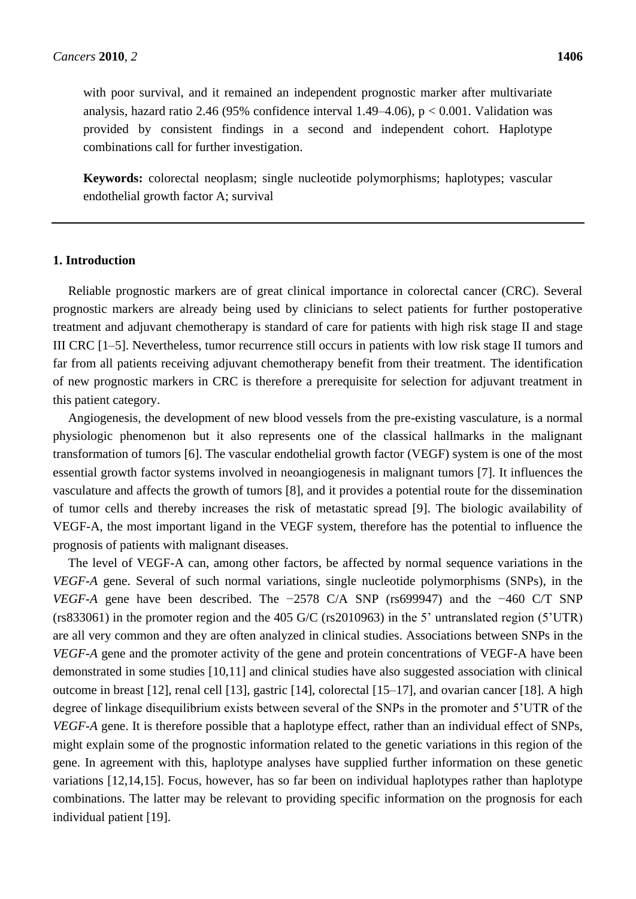with poor survival, and it remained an independent prognostic marker after multivariate analysis, hazard ratio 2.46 (95% confidence interval 1.49–4.06),  $p < 0.001$ . Validation was provided by consistent findings in a second and independent cohort. Haplotype combinations call for further investigation.

**Keywords:** colorectal neoplasm; single nucleotide polymorphisms; haplotypes; vascular endothelial growth factor A; survival

### **1. Introduction**

Reliable prognostic markers are of great clinical importance in colorectal cancer (CRC). Several prognostic markers are already being used by clinicians to select patients for further postoperative treatment and adjuvant chemotherapy is standard of care for patients with high risk stage II and stage III CRC [1–5]. Nevertheless, tumor recurrence still occurs in patients with low risk stage II tumors and far from all patients receiving adjuvant chemotherapy benefit from their treatment. The identification of new prognostic markers in CRC is therefore a prerequisite for selection for adjuvant treatment in this patient category.

Angiogenesis, the development of new blood vessels from the pre-existing vasculature, is a normal physiologic phenomenon but it also represents one of the classical hallmarks in the malignant transformation of tumors [6]. The vascular endothelial growth factor (VEGF) system is one of the most essential growth factor systems involved in neoangiogenesis in malignant tumors [7]. It influences the vasculature and affects the growth of tumors [8], and it provides a potential route for the dissemination of tumor cells and thereby increases the risk of metastatic spread [9]. The biologic availability of VEGF-A, the most important ligand in the VEGF system, therefore has the potential to influence the prognosis of patients with malignant diseases.

The level of VEGF-A can, among other factors, be affected by normal sequence variations in the *VEGF-A* gene. Several of such normal variations, single nucleotide polymorphisms (SNPs), in the *VEGF-A* gene have been described. The −2578 C/A SNP (rs699947) and the −460 C/T SNP (rs833061) in the promoter region and the 405 G/C (rs2010963) in the 5' untranslated region (5'UTR) are all very common and they are often analyzed in clinical studies. Associations between SNPs in the *VEGF-A* gene and the promoter activity of the gene and protein concentrations of VEGF-A have been demonstrated in some studies [10,11] and clinical studies have also suggested association with clinical outcome in breast [12], renal cell [13], gastric [14], colorectal [15–17], and ovarian cancer [18]. A high degree of linkage disequilibrium exists between several of the SNPs in the promoter and 5'UTR of the *VEGF-A* gene. It is therefore possible that a haplotype effect, rather than an individual effect of SNPs, might explain some of the prognostic information related to the genetic variations in this region of the gene. In agreement with this, haplotype analyses have supplied further information on these genetic variations [12,14,15]. Focus, however, has so far been on individual haplotypes rather than haplotype combinations. The latter may be relevant to providing specific information on the prognosis for each individual patient [19].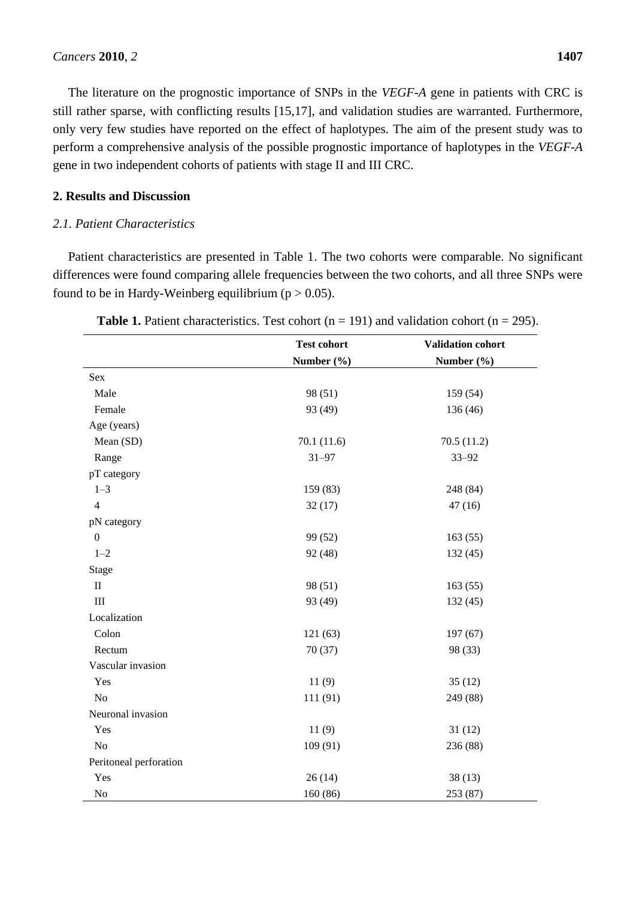The literature on the prognostic importance of SNPs in the *VEGF-A* gene in patients with CRC is still rather sparse, with conflicting results [15,17], and validation studies are warranted. Furthermore, only very few studies have reported on the effect of haplotypes. The aim of the present study was to perform a comprehensive analysis of the possible prognostic importance of haplotypes in the *VEGF-A* gene in two independent cohorts of patients with stage II and III CRC.

# **2. Results and Discussion**

# *2.1. Patient Characteristics*

Patient characteristics are presented in Table 1. The two cohorts were comparable. No significant differences were found comparing allele frequencies between the two cohorts, and all three SNPs were found to be in Hardy-Weinberg equilibrium ( $p > 0.05$ ).

|                        | <b>Test cohort</b> | Validation cohort |
|------------------------|--------------------|-------------------|
|                        | Number (%)         | Number (%)        |
| $\operatorname{Sex}$   |                    |                   |
| Male                   | 98 (51)            | 159(54)           |
| Female                 | 93 (49)            | 136 (46)          |
| Age (years)            |                    |                   |
| Mean (SD)              | 70.1 (11.6)        | 70.5(11.2)        |
| Range                  | $31 - 97$          | $33 - 92$         |
| pT category            |                    |                   |
| $1 - 3$                | 159 (83)           | 248 (84)          |
| $\overline{4}$         | 32(17)             | 47(16)            |
| pN category            |                    |                   |
| $\boldsymbol{0}$       | 99 (52)            | 163(55)           |
| $1 - 2$                | 92 (48)            | 132(45)           |
| Stage                  |                    |                   |
| $\mathbf{I}$           | 98 (51)            | 163(55)           |
| $\rm III$              | 93 (49)            | 132(45)           |
| Localization           |                    |                   |
| Colon                  | 121(63)            | 197(67)           |
| Rectum                 | 70 (37)            | 98 (33)           |
| Vascular invasion      |                    |                   |
| Yes                    | 11(9)              | 35(12)            |
| N <sub>o</sub>         | 111 (91)           | 249 (88)          |
| Neuronal invasion      |                    |                   |
| Yes                    | 11(9)              | 31(12)            |
| No                     | 109 (91)           | 236 (88)          |
| Peritoneal perforation |                    |                   |
| Yes                    | 26(14)             | 38(13)            |
| $\rm No$               | 160 (86)           | 253 (87)          |

|  |  | <b>Table 1.</b> Patient characteristics. Test cohort ( $n = 191$ ) and validation cohort ( $n = 295$ ). |  |  |  |  |  |  |
|--|--|---------------------------------------------------------------------------------------------------------|--|--|--|--|--|--|
|--|--|---------------------------------------------------------------------------------------------------------|--|--|--|--|--|--|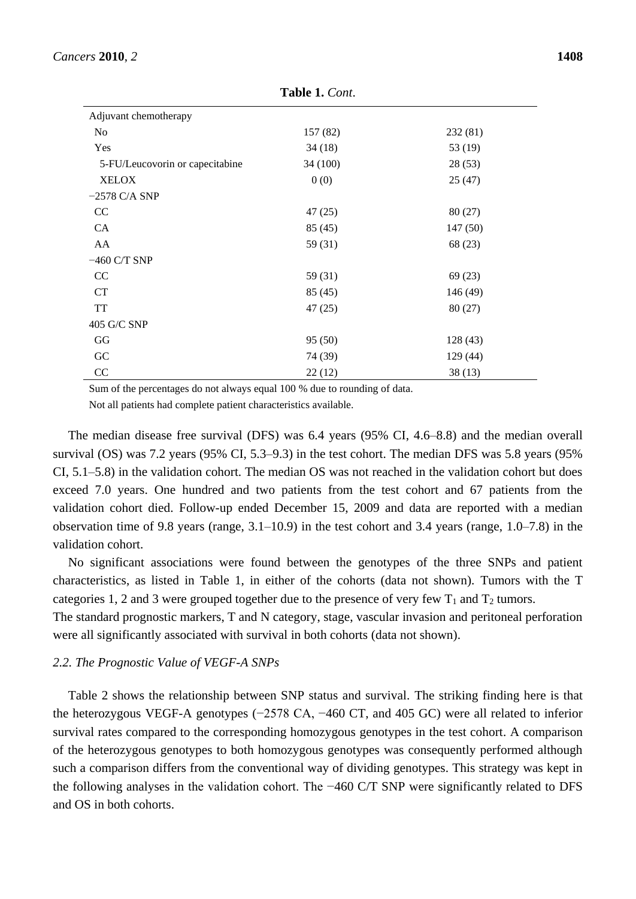| Adjuvant chemotherapy           |          |          |
|---------------------------------|----------|----------|
| No                              | 157 (82) | 232(81)  |
| Yes                             | 34(18)   | 53 (19)  |
| 5-FU/Leucovorin or capecitabine | 34(100)  | 28(53)   |
| <b>XELOX</b>                    | 0(0)     | 25(47)   |
| $-2578$ C/A SNP                 |          |          |
| CC                              | 47(25)   | 80(27)   |
| CA                              | 85(45)   | 147(50)  |
| AA                              | 59 (31)  | 68 (23)  |
| $-460$ C/T SNP                  |          |          |
| <sub>CC</sub>                   | 59 (31)  | 69(23)   |
| <b>CT</b>                       | 85(45)   | 146 (49) |
| <b>TT</b>                       | 47(25)   | 80(27)   |
| 405 G/C SNP                     |          |          |
| GG                              | 95(50)   | 128 (43) |
| GC                              | 74 (39)  | 129 (44) |
| CC                              | 22(12)   | 38(13)   |

**Table 1.** *Cont*.

Sum of the percentages do not always equal 100 % due to rounding of data. Not all patients had complete patient characteristics available.

The median disease free survival (DFS) was 6.4 years (95% CI, 4.6–8.8) and the median overall survival (OS) was 7.2 years (95% CI, 5.3–9.3) in the test cohort. The median DFS was 5.8 years (95% CI, 5.1–5.8) in the validation cohort. The median OS was not reached in the validation cohort but does exceed 7.0 years. One hundred and two patients from the test cohort and 67 patients from the validation cohort died. Follow-up ended December 15, 2009 and data are reported with a median observation time of 9.8 years (range, 3.1–10.9) in the test cohort and 3.4 years (range, 1.0–7.8) in the validation cohort.

No significant associations were found between the genotypes of the three SNPs and patient characteristics, as listed in Table 1, in either of the cohorts (data not shown). Tumors with the T categories 1, 2 and 3 were grouped together due to the presence of very few  $T_1$  and  $T_2$  tumors.

The standard prognostic markers, T and N category, stage, vascular invasion and peritoneal perforation were all significantly associated with survival in both cohorts (data not shown).

#### *2.2. The Prognostic Value of VEGF-A SNPs*

Table 2 shows the relationship between SNP status and survival. The striking finding here is that the heterozygous VEGF-A genotypes (−2578 CA, −460 CT, and 405 GC) were all related to inferior survival rates compared to the corresponding homozygous genotypes in the test cohort. A comparison of the heterozygous genotypes to both homozygous genotypes was consequently performed although such a comparison differs from the conventional way of dividing genotypes. This strategy was kept in the following analyses in the validation cohort. The −460 C/T SNP were significantly related to DFS and OS in both cohorts.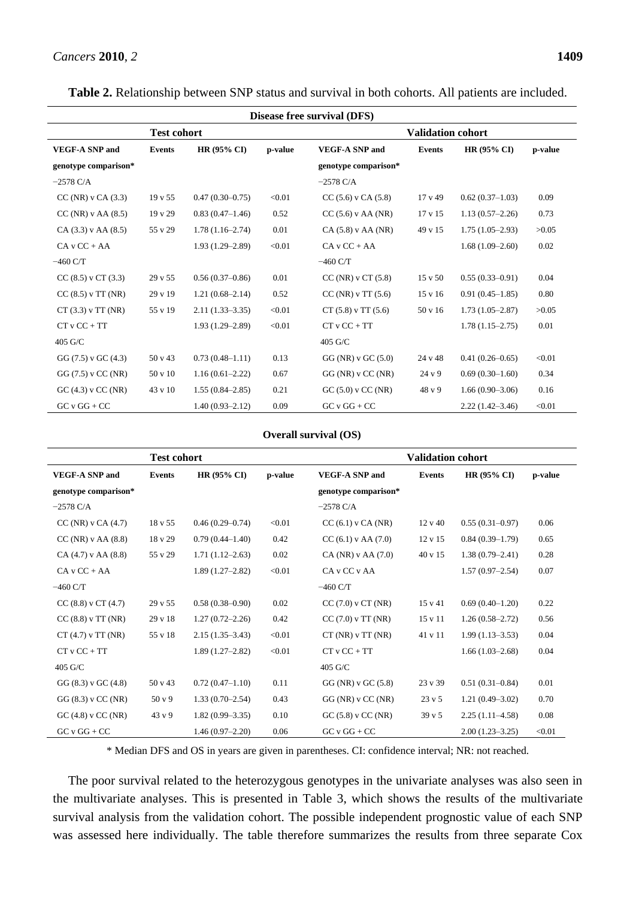**Table 2.** Relationship between SNP status and survival in both cohorts. All patients are included.

| Disease free survival (DFS) |                    |                     |         |                              |                    |                     |         |
|-----------------------------|--------------------|---------------------|---------|------------------------------|--------------------|---------------------|---------|
| <b>Test cohort</b>          |                    |                     |         | <b>Validation cohort</b>     |                    |                     |         |
| <b>VEGF-A SNP and</b>       | <b>Events</b>      | <b>HR (95% CI)</b>  | p-value | <b>VEGF-A SNP and</b>        | <b>Events</b>      | HR(95% CI)          | p-value |
| genotype comparison*        |                    |                     |         | genotype comparison*         |                    |                     |         |
| $-2578 \text{ C/A}$         |                    |                     |         | $-2578 \text{ C/A}$          |                    |                     |         |
| $CC(NR)$ v $CA(3.3)$        | $19 \text{ v } 55$ | $0.47(0.30-0.75)$   | < 0.01  | $CC(5.6)$ v $CA(5.8)$        | 17 v 49            | $0.62(0.37-1.03)$   | 0.09    |
| $CC(NR)$ v AA $(8.5)$       | $19 \text{ v } 29$ | $0.83(0.47-1.46)$   | 0.52    | $CC(5.6)$ v AA (NR)          | $17 \times 15$     | $1.13(0.57 - 2.26)$ | 0.73    |
| $CA(3.3)$ v AA $(8.5)$      | 55 v 29            | $1.78(1.16-2.74)$   | 0.01    | $CA(5.8)$ v AA (NR)          | 49 v 15            | $1.75(1.05-2.93)$   | >0.05   |
| $CAvCC + AA$                |                    | $1.93(1.29 - 2.89)$ | < 0.01  | $CA$ v $CC + AA$             |                    | $1.68(1.09-2.60)$   | 0.02    |
| $-460$ C/T                  |                    |                     |         | $-460$ C/T                   |                    |                     |         |
| $CC(8.5)$ v $CT(3.3)$       | 29v55              | $0.56(0.37-0.86)$   | 0.01    | $CC(NR)$ v $CT(5.8)$         | $15 \text{ v } 50$ | $0.55(0.33 - 0.91)$ | 0.04    |
| $CC(8.5)$ v TT (NR)         | $29 \text{ v} 19$  | $1.21(0.68 - 2.14)$ | 0.52    | CC(NR) v TT (5.6)            | $15 \text{ v } 16$ | $0.91(0.45 - 1.85)$ | 0.80    |
| CT(3.3) v TT(NR)            | 55 v 19            | $2.11(1.33 - 3.35)$ | < 0.01  | $CT(5.8) \text{ v } TT(5.6)$ | 50 v 16            | $1.73(1.05-2.87)$   | >0.05   |
| $CTvCC + TT$                |                    | $1.93(1.29 - 2.89)$ | < 0.01  | $CTvCC + TT$                 |                    | $1.78(1.15-2.75)$   | 0.01    |
| 405 G/C                     |                    |                     |         | 405 G/C                      |                    |                     |         |
| GG $(7.5)$ v GC $(4.3)$     | 50 v 43            | $0.73(0.48 - 1.11)$ | 0.13    | $GG$ (NR) v $GC$ (5.0)       | 24 v 48            | $0.41(0.26 - 0.65)$ | < 0.01  |
| $GG(7.5)$ v CC (NR)         | 50 v 10            | $1.16(0.61 - 2.22)$ | 0.67    | $GG$ (NR) $v$ CC (NR)        | 24 y 9             | $0.69(0.30-1.60)$   | 0.34    |
| $GC(4.3)$ v $CC(NR)$        | 43 v 10            | $1.55(0.84 - 2.85)$ | 0.21    | $GC(5.0)$ v $CC(NR)$         | 48 v 9             | $1.66(0.90-3.06)$   | 0.16    |
| $GCvGG + CC$                |                    | $1.40(0.93 - 2.12)$ | 0.09    | $GCvGG + CC$                 |                    | $2.22(1.42 - 3.46)$ | < 0.01  |

#### **Overall survival (OS)**

| <b>Test cohort</b>      |                    |                     | <b>Validation cohort</b> |                             |                    |                        |         |
|-------------------------|--------------------|---------------------|--------------------------|-----------------------------|--------------------|------------------------|---------|
| <b>VEGF-A SNP and</b>   | Events             | HR $(95\%$ CI $)$   | p-value                  | <b>VEGF-A SNP and</b>       | <b>Events</b>      | HR $(95\% \text{ CI})$ | p-value |
| genotype comparison*    |                    |                     |                          | genotype comparison*        |                    |                        |         |
| $-2578$ C/A             |                    |                     |                          | $-2578 \text{ C/A}$         |                    |                        |         |
| $CC(NR)$ v $CA(4.7)$    | 18 v 55            | $0.46(0.29 - 0.74)$ | < 0.01                   | $CC(6.1)$ v $CA(NR)$        | $12 \text{ v } 40$ | $0.55(0.31 - 0.97)$    | 0.06    |
| $CC(NR)$ v AA $(8.8)$   | 18 v 29            | $0.79(0.44 - 1.40)$ | 0.42                     | $CC(6.1)$ v AA $(7.0)$      | $12 \times 15$     | $0.84(0.39-1.79)$      | 0.65    |
| $CA(4.7)$ v AA $(8.8)$  | 55 v 29            | $1.71(1.12 - 2.63)$ | 0.02                     | $CA(NR)$ v AA $(7.0)$       | $40 \times 15$     | $1.38(0.79 - 2.41)$    | 0.28    |
| $CAvCC + AA$            |                    | $1.89(1.27-2.82)$   | < 0.01                   | CA v CC v AA                |                    | $1.57(0.97 - 2.54)$    | 0.07    |
| $-460$ C/T              |                    |                     |                          | $-460$ C/T                  |                    |                        |         |
| $CC(8.8)$ v $CT(4.7)$   | $29 \text{ v } 55$ | $0.58(0.38 - 0.90)$ | 0.02                     | $CC(7.0)$ v $CT(NR)$        | $15 \text{ v } 41$ | $0.69(0.40-1.20)$      | 0.22    |
| $CC(8.8)$ v TT (NR)     | $29 \text{ v } 18$ | $1.27(0.72 - 2.26)$ | 0.42                     | $CC(7.0) \text{ v } TT(NR)$ | 15 v 11            | $1.26(0.58 - 2.72)$    | 0.56    |
| $CT(4.7)$ v TT (NR)     | 55 v 18            | $2.15(1.35-3.43)$   | < 0.01                   | CT(NR) v TT(NR)             | 41 v 11            | $1.99(1.13 - 3.53)$    | 0.04    |
| $CTvCC + TT$            |                    | $1.89(1.27-2.82)$   | < 0.01                   | $CTvCC + TT$                |                    | $1.66(1.03-2.68)$      | 0.04    |
| 405 G/C                 |                    |                     |                          | 405 G/C                     |                    |                        |         |
| GG $(8.3)$ v GC $(4.8)$ | 50 v 43            | $0.72(0.47-1.10)$   | 0.11                     | GG (NR) v GC (5.8)          | $23 \text{ v } 39$ | $0.51(0.31 - 0.84)$    | 0.01    |
| $GG(8.3)$ v CC (NR)     | 50y9               | $1.33(0.70 - 2.54)$ | 0.43                     | $GG$ (NR) $v$ CC (NR)       | $23 \text{ v } 5$  | $1.21(0.49-3.02)$      | 0.70    |
| $GC(4.8)$ v $CC(NR)$    | 43 v 9             | $1.82(0.99 - 3.35)$ | 0.10                     | $GC(5.8)$ v $CC(NR)$        | 39v5               | $2.25(1.11-4.58)$      | 0.08    |
| $GCvGG + CC$            |                    | $1.46(0.97-2.20)$   | 0.06                     | $GCVGG + CC$                |                    | $2.00(1.23 - 3.25)$    | < 0.01  |

\* Median DFS and OS in years are given in parentheses. CI: confidence interval; NR: not reached.

The poor survival related to the heterozygous genotypes in the univariate analyses was also seen in the multivariate analyses. This is presented in Table 3, which shows the results of the multivariate survival analysis from the validation cohort. The possible independent prognostic value of each SNP was assessed here individually. The table therefore summarizes the results from three separate Cox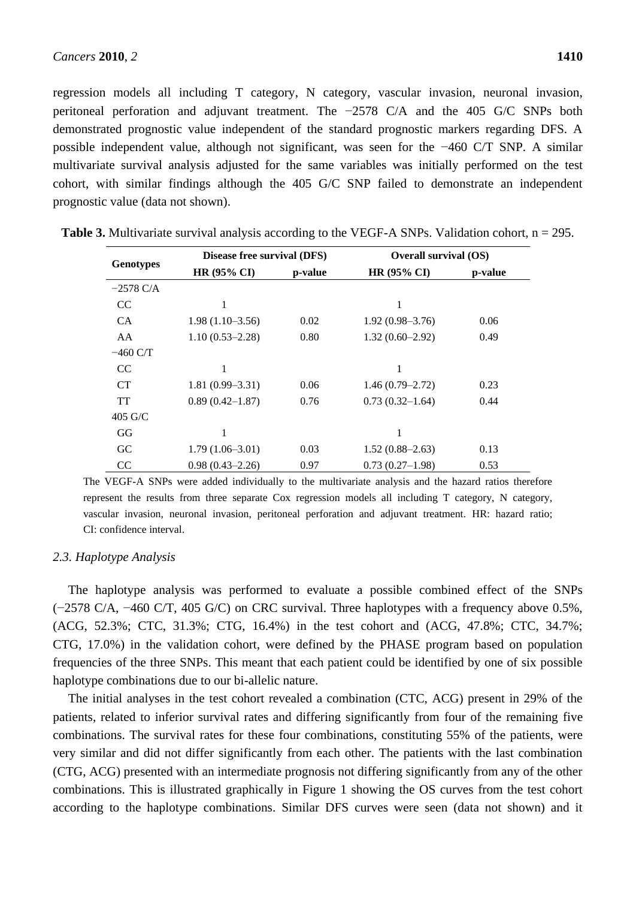regression models all including T category, N category, vascular invasion, neuronal invasion, peritoneal perforation and adjuvant treatment. The −2578 C/A and the 405 G/C SNPs both demonstrated prognostic value independent of the standard prognostic markers regarding DFS. A possible independent value, although not significant, was seen for the −460 C/T SNP. A similar multivariate survival analysis adjusted for the same variables was initially performed on the test cohort, with similar findings although the 405 G/C SNP failed to demonstrate an independent prognostic value (data not shown).

| <b>Genotypes</b>    | Disease free survival (DFS) |         |                     | Overall survival (OS) |  |  |
|---------------------|-----------------------------|---------|---------------------|-----------------------|--|--|
|                     | HR (95% CI)                 | p-value | HR (95% CI)         | p-value               |  |  |
| $-2578 \text{ C/A}$ |                             |         |                     |                       |  |  |
| CC                  | 1                           |         | 1                   |                       |  |  |
| CA                  | $1.98(1.10-3.56)$           | 0.02    | $1.92(0.98 - 3.76)$ | 0.06                  |  |  |
| AA                  | $1.10(0.53 - 2.28)$         | 0.80    | $1.32(0.60-2.92)$   | 0.49                  |  |  |
| $-460$ C/T          |                             |         |                     |                       |  |  |
| <sub>CC</sub>       |                             |         | 1                   |                       |  |  |
| CT                  | $1.81(0.99 - 3.31)$         | 0.06    | $1.46(0.79 - 2.72)$ | 0.23                  |  |  |
| TT                  | $0.89(0.42 - 1.87)$         | 0.76    | $0.73(0.32 - 1.64)$ | 0.44                  |  |  |
| $405$ G/C           |                             |         |                     |                       |  |  |
| GG                  | 1                           |         | 1                   |                       |  |  |
| GC                  | $1.79(1.06 - 3.01)$         | 0.03    | $1.52(0.88 - 2.63)$ | 0.13                  |  |  |
| <sub>CC</sub>       | $0.98(0.43 - 2.26)$         | 0.97    | $0.73(0.27-1.98)$   | 0.53                  |  |  |

**Table 3.** Multivariate survival analysis according to the VEGF-A SNPs. Validation cohort,  $n = 295$ .

The VEGF-A SNPs were added individually to the multivariate analysis and the hazard ratios therefore represent the results from three separate Cox regression models all including T category, N category, vascular invasion, neuronal invasion, peritoneal perforation and adjuvant treatment. HR: hazard ratio; CI: confidence interval.

#### *2.3. Haplotype Analysis*

The haplotype analysis was performed to evaluate a possible combined effect of the SNPs (−2578 C/A, −460 C/T, 405 G/C) on CRC survival. Three haplotypes with a frequency above 0.5%, (ACG, 52.3%; CTC, 31.3%; CTG, 16.4%) in the test cohort and (ACG, 47.8%; CTC, 34.7%; CTG, 17.0%) in the validation cohort, were defined by the PHASE program based on population frequencies of the three SNPs. This meant that each patient could be identified by one of six possible haplotype combinations due to our bi-allelic nature.

The initial analyses in the test cohort revealed a combination (CTC, ACG) present in 29% of the patients, related to inferior survival rates and differing significantly from four of the remaining five combinations. The survival rates for these four combinations, constituting 55% of the patients, were very similar and did not differ significantly from each other. The patients with the last combination (CTG, ACG) presented with an intermediate prognosis not differing significantly from any of the other combinations. This is illustrated graphically in Figure 1 showing the OS curves from the test cohort according to the haplotype combinations. Similar DFS curves were seen (data not shown) and it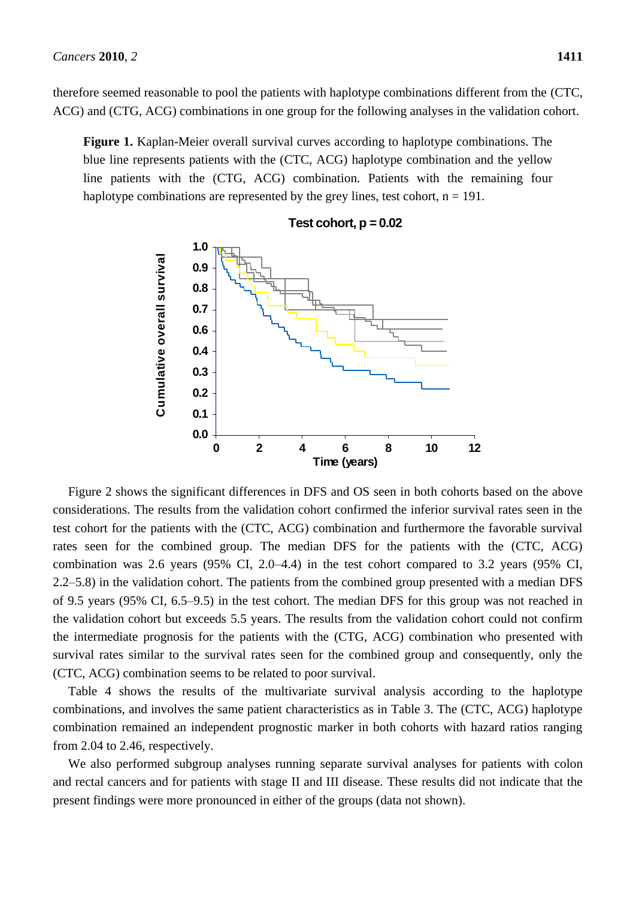therefore seemed reasonable to pool the patients with haplotype combinations different from the (CTC, ACG) and (CTG, ACG) combinations in one group for the following analyses in the validation cohort.

**Figure 1.** Kaplan-Meier overall survival curves according to haplotype combinations. The blue line represents patients with the (CTC, ACG) haplotype combination and the yellow line patients with the (CTG, ACG) combination. Patients with the remaining four haplotype combinations are represented by the grey lines, test cohort,  $n = 191$ .



**Test cohort, p = 0.02**

Figure 2 shows the significant differences in DFS and OS seen in both cohorts based on the above considerations. The results from the validation cohort confirmed the inferior survival rates seen in the test cohort for the patients with the (CTC, ACG) combination and furthermore the favorable survival rates seen for the combined group. The median DFS for the patients with the (CTC, ACG) combination was 2.6 years (95% CI, 2.0–4.4) in the test cohort compared to 3.2 years (95% CI, 2.2–5.8) in the validation cohort. The patients from the combined group presented with a median DFS of 9.5 years (95% CI, 6.5–9.5) in the test cohort. The median DFS for this group was not reached in the validation cohort but exceeds 5.5 years. The results from the validation cohort could not confirm the intermediate prognosis for the patients with the (CTG, ACG) combination who presented with survival rates similar to the survival rates seen for the combined group and consequently, only the (CTC, ACG) combination seems to be related to poor survival.

Table 4 shows the results of the multivariate survival analysis according to the haplotype combinations, and involves the same patient characteristics as in Table 3. The (CTC, ACG) haplotype combination remained an independent prognostic marker in both cohorts with hazard ratios ranging from 2.04 to 2.46, respectively.

We also performed subgroup analyses running separate survival analyses for patients with colon and rectal cancers and for patients with stage II and III disease. These results did not indicate that the present findings were more pronounced in either of the groups (data not shown).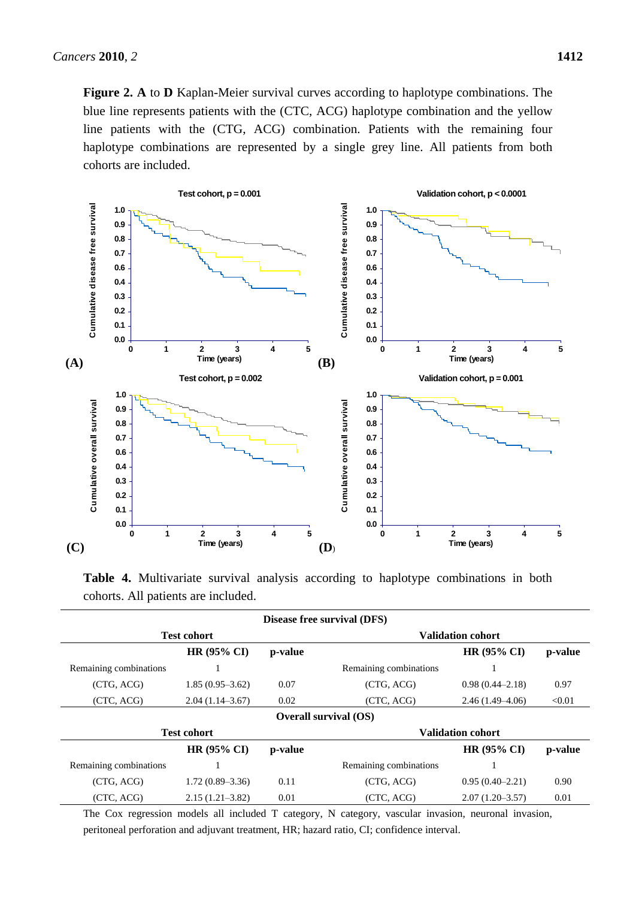**Figure 2. A** to **D** Kaplan-Meier survival curves according to haplotype combinations. The blue line represents patients with the (CTC, ACG) haplotype combination and the yellow line patients with the (CTG, ACG) combination. Patients with the remaining four haplotype combinations are represented by a single grey line. All patients from both cohorts are included.



**Table 4.** Multivariate survival analysis according to haplotype combinations in both cohorts. All patients are included.

| Disease free survival (DFS)  |                     |         |                        |                          |         |  |  |  |
|------------------------------|---------------------|---------|------------------------|--------------------------|---------|--|--|--|
|                              | <b>Test cohort</b>  |         |                        | <b>Validation cohort</b> |         |  |  |  |
|                              | <b>HR (95% CI)</b>  | p-value |                        | HR (95% CI)              | p-value |  |  |  |
| Remaining combinations       |                     |         | Remaining combinations |                          |         |  |  |  |
| (CTG, ACG)                   | $1.85(0.95-3.62)$   | 0.07    | (CTG, ACG)             | $0.98(0.44 - 2.18)$      | 0.97    |  |  |  |
| (CTC, ACG)                   | $2.04(1.14-3.67)$   | 0.02    | (CTC, ACG)             | $2.46(1.49-4.06)$        | < 0.01  |  |  |  |
| <b>Overall survival (OS)</b> |                     |         |                        |                          |         |  |  |  |
|                              | <b>Test cohort</b>  |         |                        | <b>Validation cohort</b> |         |  |  |  |
|                              | $HR (95\% CI)$      | p-value |                        | $HR(95\% CI)$            | p-value |  |  |  |
| Remaining combinations       | 1                   |         | Remaining combinations |                          |         |  |  |  |
| (CTG, ACG)                   | $1.72(0.89-3.36)$   | 0.11    | (CTG, ACG)             | $0.95(0.40 - 2.21)$      | 0.90    |  |  |  |
| (CTC, ACG)                   | $2.15(1.21 - 3.82)$ | 0.01    | (CTC, ACG)             | $2.07(1.20-3.57)$        | 0.01    |  |  |  |

The Cox regression models all included T category, N category, vascular invasion, neuronal invasion, peritoneal perforation and adjuvant treatment, HR; hazard ratio, CI; confidence interval.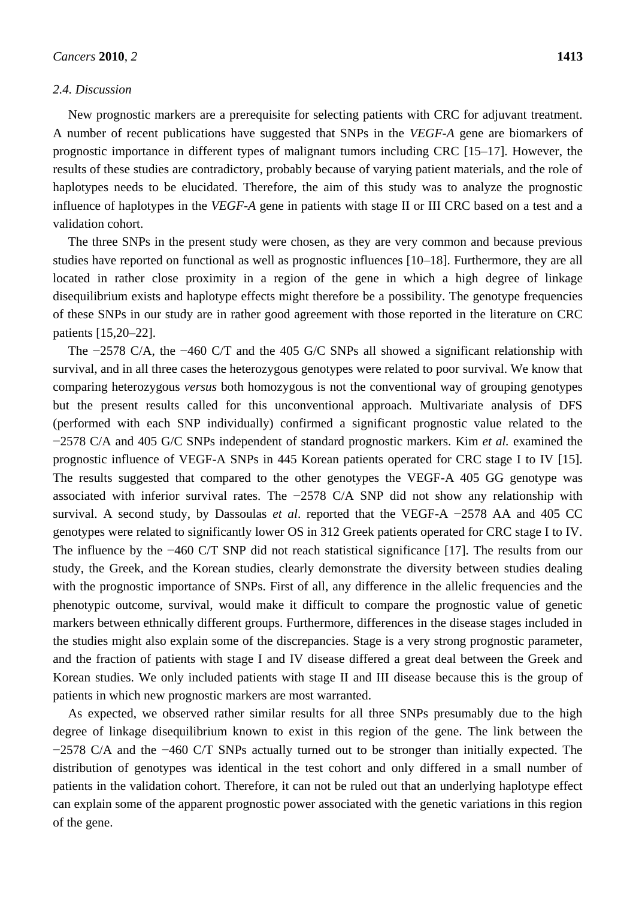#### *2.4. Discussion*

validation cohort.

New prognostic markers are a prerequisite for selecting patients with CRC for adjuvant treatment. A number of recent publications have suggested that SNPs in the *VEGF-A* gene are biomarkers of prognostic importance in different types of malignant tumors including CRC [15–17]. However, the results of these studies are contradictory, probably because of varying patient materials, and the role of haplotypes needs to be elucidated. Therefore, the aim of this study was to analyze the prognostic

The three SNPs in the present study were chosen, as they are very common and because previous studies have reported on functional as well as prognostic influences [10–18]. Furthermore, they are all located in rather close proximity in a region of the gene in which a high degree of linkage disequilibrium exists and haplotype effects might therefore be a possibility. The genotype frequencies of these SNPs in our study are in rather good agreement with those reported in the literature on CRC patients [15,20–22].

influence of haplotypes in the *VEGF-A* gene in patients with stage II or III CRC based on a test and a

The −2578 C/A, the −460 C/T and the 405 G/C SNPs all showed a significant relationship with survival, and in all three cases the heterozygous genotypes were related to poor survival. We know that comparing heterozygous *versus* both homozygous is not the conventional way of grouping genotypes but the present results called for this unconventional approach. Multivariate analysis of DFS (performed with each SNP individually) confirmed a significant prognostic value related to the −2578 C/A and 405 G/C SNPs independent of standard prognostic markers. Kim *et al.* examined the prognostic influence of VEGF-A SNPs in 445 Korean patients operated for CRC stage I to IV [15]. The results suggested that compared to the other genotypes the VEGF-A 405 GG genotype was associated with inferior survival rates. The −2578 C/A SNP did not show any relationship with survival. A second study, by Dassoulas *et al*. reported that the VEGF-A −2578 AA and 405 CC genotypes were related to significantly lower OS in 312 Greek patients operated for CRC stage I to IV. The influence by the −460 C/T SNP did not reach statistical significance [17]. The results from our study, the Greek, and the Korean studies, clearly demonstrate the diversity between studies dealing with the prognostic importance of SNPs. First of all, any difference in the allelic frequencies and the phenotypic outcome, survival, would make it difficult to compare the prognostic value of genetic markers between ethnically different groups. Furthermore, differences in the disease stages included in the studies might also explain some of the discrepancies. Stage is a very strong prognostic parameter, and the fraction of patients with stage I and IV disease differed a great deal between the Greek and Korean studies. We only included patients with stage II and III disease because this is the group of patients in which new prognostic markers are most warranted.

As expected, we observed rather similar results for all three SNPs presumably due to the high degree of linkage disequilibrium known to exist in this region of the gene. The link between the −2578 C/A and the −460 C/T SNPs actually turned out to be stronger than initially expected. The distribution of genotypes was identical in the test cohort and only differed in a small number of patients in the validation cohort. Therefore, it can not be ruled out that an underlying haplotype effect can explain some of the apparent prognostic power associated with the genetic variations in this region of the gene.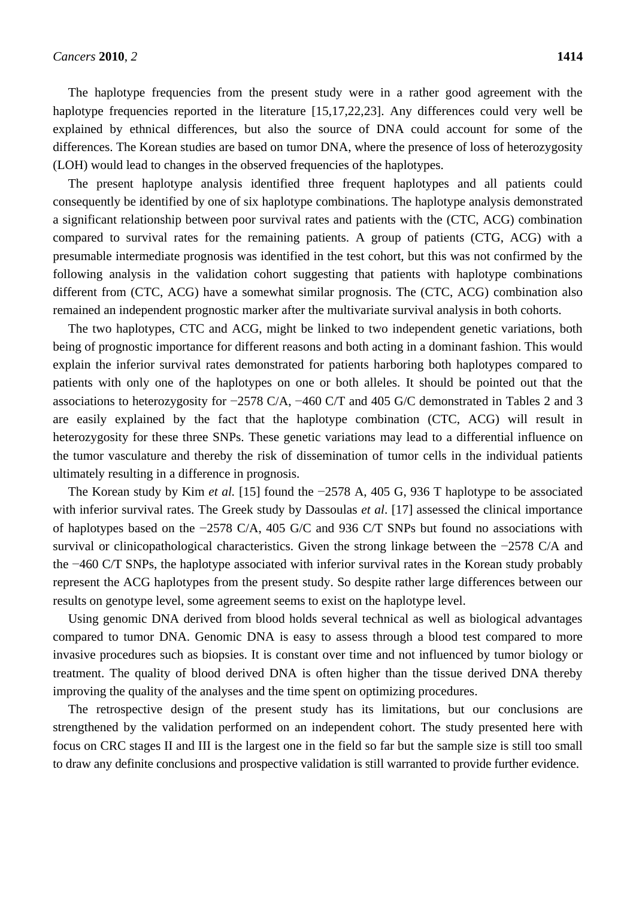The haplotype frequencies from the present study were in a rather good agreement with the haplotype frequencies reported in the literature [15,17,22,23]. Any differences could very well be explained by ethnical differences, but also the source of DNA could account for some of the differences. The Korean studies are based on tumor DNA, where the presence of loss of heterozygosity (LOH) would lead to changes in the observed frequencies of the haplotypes.

The present haplotype analysis identified three frequent haplotypes and all patients could consequently be identified by one of six haplotype combinations. The haplotype analysis demonstrated a significant relationship between poor survival rates and patients with the (CTC, ACG) combination compared to survival rates for the remaining patients. A group of patients (CTG, ACG) with a presumable intermediate prognosis was identified in the test cohort, but this was not confirmed by the following analysis in the validation cohort suggesting that patients with haplotype combinations different from (CTC, ACG) have a somewhat similar prognosis. The (CTC, ACG) combination also remained an independent prognostic marker after the multivariate survival analysis in both cohorts.

The two haplotypes, CTC and ACG, might be linked to two independent genetic variations, both being of prognostic importance for different reasons and both acting in a dominant fashion. This would explain the inferior survival rates demonstrated for patients harboring both haplotypes compared to patients with only one of the haplotypes on one or both alleles. It should be pointed out that the associations to heterozygosity for −2578 C/A, −460 C/T and 405 G/C demonstrated in Tables 2 and 3 are easily explained by the fact that the haplotype combination (CTC, ACG) will result in heterozygosity for these three SNPs. These genetic variations may lead to a differential influence on the tumor vasculature and thereby the risk of dissemination of tumor cells in the individual patients ultimately resulting in a difference in prognosis.

The Korean study by Kim *et al.* [15] found the −2578 A, 405 G, 936 T haplotype to be associated with inferior survival rates. The Greek study by Dassoulas *et al*. [17] assessed the clinical importance of haplotypes based on the −2578 C/A, 405 G/C and 936 C/T SNPs but found no associations with survival or clinicopathological characteristics. Given the strong linkage between the −2578 C/A and the −460 C/T SNPs, the haplotype associated with inferior survival rates in the Korean study probably represent the ACG haplotypes from the present study. So despite rather large differences between our results on genotype level, some agreement seems to exist on the haplotype level.

Using genomic DNA derived from blood holds several technical as well as biological advantages compared to tumor DNA. Genomic DNA is easy to assess through a blood test compared to more invasive procedures such as biopsies. It is constant over time and not influenced by tumor biology or treatment. The quality of blood derived DNA is often higher than the tissue derived DNA thereby improving the quality of the analyses and the time spent on optimizing procedures.

The retrospective design of the present study has its limitations, but our conclusions are strengthened by the validation performed on an independent cohort. The study presented here with focus on CRC stages II and III is the largest one in the field so far but the sample size is still too small to draw any definite conclusions and prospective validation is still warranted to provide further evidence.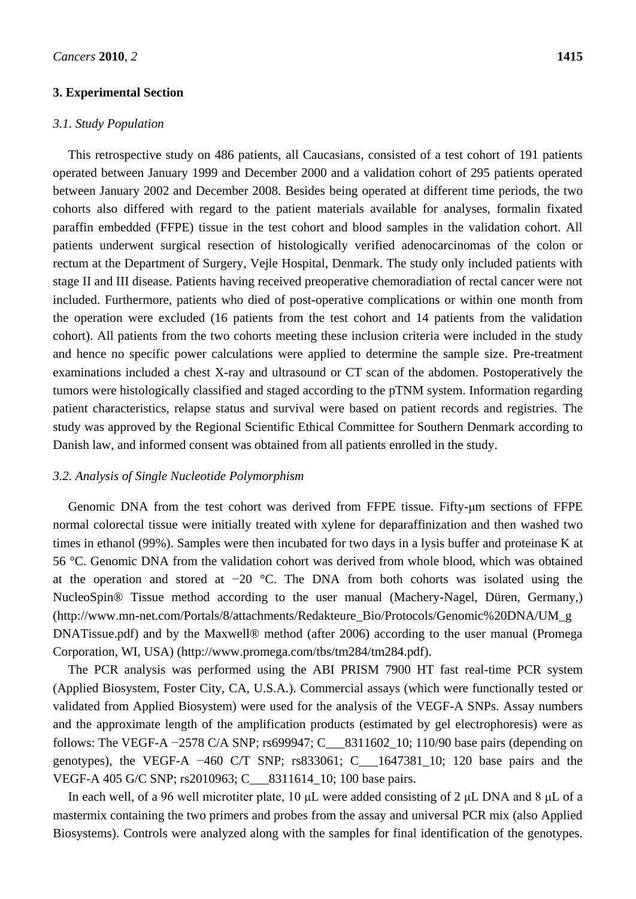### **3. Experimental Section**

#### *3.1. Study Population*

This retrospective study on 486 patients, all Caucasians, consisted of a test cohort of 191 patients operated between January 1999 and December 2000 and a validation cohort of 295 patients operated between January 2002 and December 2008. Besides being operated at different time periods, the two cohorts also differed with regard to the patient materials available for analyses, formalin fixated paraffin embedded (FFPE) tissue in the test cohort and blood samples in the validation cohort. All patients underwent surgical resection of histologically verified adenocarcinomas of the colon or rectum at the Department of Surgery, Vejle Hospital, Denmark. The study only included patients with stage II and III disease. Patients having received preoperative chemoradiation of rectal cancer were not included. Furthermore, patients who died of post-operative complications or within one month from the operation were excluded (16 patients from the test cohort and 14 patients from the validation cohort). All patients from the two cohorts meeting these inclusion criteria were included in the study and hence no specific power calculations were applied to determine the sample size. Pre-treatment examinations included a chest X-ray and ultrasound or CT scan of the abdomen. Postoperatively the tumors were histologically classified and staged according to the pTNM system. Information regarding patient characteristics, relapse status and survival were based on patient records and registries. The study was approved by the Regional Scientific Ethical Committee for Southern Denmark according to Danish law, and informed consent was obtained from all patients enrolled in the study.

#### *3.2. Analysis of Single Nucleotide Polymorphism*

Genomic DNA from the test cohort was derived from FFPE tissue. Fifty-μm sections of FFPE normal colorectal tissue were initially treated with xylene for deparaffinization and then washed two times in ethanol (99%). Samples were then incubated for two days in a lysis buffer and proteinase K at 56 °C. Genomic DNA from the validation cohort was derived from whole blood, which was obtained at the operation and stored at −20 °C. The DNA from both cohorts was isolated using the NucleoSpin® Tissue method according to the user manual (Machery-Nagel, Düren, Germany,) (http://www.mn-net.com/Portals/8/attachments/Redakteure\_Bio/Protocols/Genomic%20DNA/UM\_g DNATissue.pdf) and by the Maxwell® method (after 2006) according to the user manual (Promega Corporation, WI, USA) (http://www.promega.com/tbs/tm284/tm284.pdf).

The PCR analysis was performed using the ABI PRISM 7900 HT fast real-time PCR system (Applied Biosystem, Foster City, CA, U.S.A.). Commercial assays (which were functionally tested or validated from Applied Biosystem) were used for the analysis of the VEGF-A SNPs. Assay numbers and the approximate length of the amplification products (estimated by gel electrophoresis) were as follows: The VEGF-A −2578 C/A SNP; rs699947; C\_\_\_8311602\_10; 110/90 base pairs (depending on genotypes), the VEGF-A −460 C/T SNP; rs833061; C\_\_\_1647381\_10; 120 base pairs and the VEGF-A 405 G/C SNP; rs2010963; C\_\_\_8311614\_10; 100 base pairs.

In each well, of a 96 well microtiter plate, 10 μL were added consisting of 2 μL DNA and 8 μL of a mastermix containing the two primers and probes from the assay and universal PCR mix (also Applied Biosystems). Controls were analyzed along with the samples for final identification of the genotypes.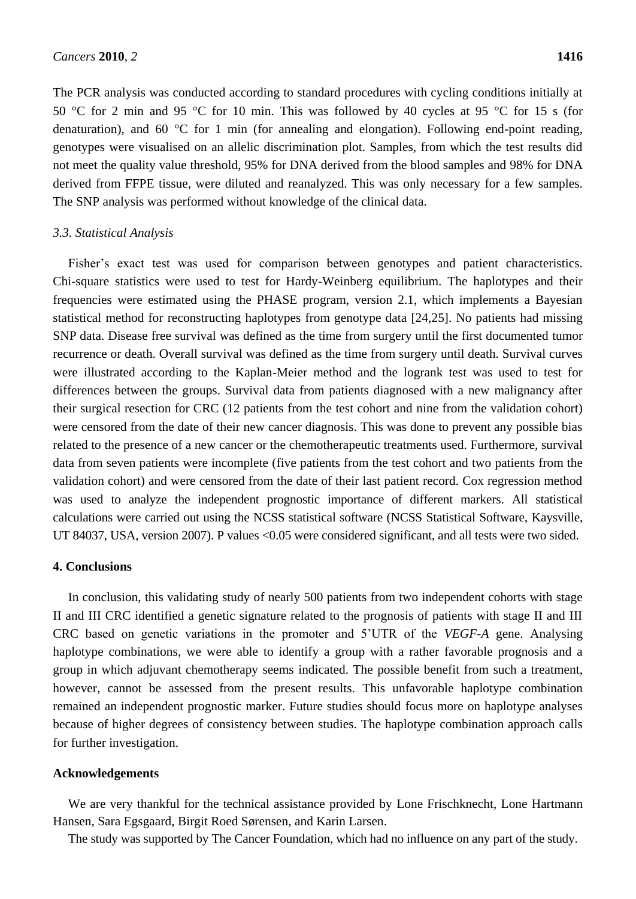The PCR analysis was conducted according to standard procedures with cycling conditions initially at 50 °C for 2 min and 95 °C for 10 min. This was followed by 40 cycles at 95 °C for 15 s (for denaturation), and 60  $\mathbb C$  for 1 min (for annealing and elongation). Following end-point reading, genotypes were visualised on an allelic discrimination plot. Samples, from which the test results did not meet the quality value threshold, 95% for DNA derived from the blood samples and 98% for DNA derived from FFPE tissue, were diluted and reanalyzed. This was only necessary for a few samples. The SNP analysis was performed without knowledge of the clinical data.

#### *3.3. Statistical Analysis*

Fisher's exact test was used for comparison between genotypes and patient characteristics. Chi-square statistics were used to test for Hardy-Weinberg equilibrium. The haplotypes and their frequencies were estimated using the PHASE program, version 2.1, which implements a Bayesian statistical method for reconstructing haplotypes from genotype data [24,25]. No patients had missing SNP data. Disease free survival was defined as the time from surgery until the first documented tumor recurrence or death. Overall survival was defined as the time from surgery until death. Survival curves were illustrated according to the Kaplan-Meier method and the logrank test was used to test for differences between the groups. Survival data from patients diagnosed with a new malignancy after their surgical resection for CRC (12 patients from the test cohort and nine from the validation cohort) were censored from the date of their new cancer diagnosis. This was done to prevent any possible bias related to the presence of a new cancer or the chemotherapeutic treatments used. Furthermore, survival data from seven patients were incomplete (five patients from the test cohort and two patients from the validation cohort) and were censored from the date of their last patient record. Cox regression method was used to analyze the independent prognostic importance of different markers. All statistical calculations were carried out using the NCSS statistical software (NCSS Statistical Software, Kaysville, UT 84037, USA, version 2007). P values <0.05 were considered significant, and all tests were two sided.

## **4. Conclusions**

In conclusion, this validating study of nearly 500 patients from two independent cohorts with stage II and III CRC identified a genetic signature related to the prognosis of patients with stage II and III CRC based on genetic variations in the promoter and 5'UTR of the *VEGF-A* gene. Analysing haplotype combinations, we were able to identify a group with a rather favorable prognosis and a group in which adjuvant chemotherapy seems indicated. The possible benefit from such a treatment, however, cannot be assessed from the present results. This unfavorable haplotype combination remained an independent prognostic marker. Future studies should focus more on haplotype analyses because of higher degrees of consistency between studies. The haplotype combination approach calls for further investigation.

#### **Acknowledgements**

We are very thankful for the technical assistance provided by Lone Frischknecht, Lone Hartmann Hansen, Sara Egsgaard, Birgit Roed Sørensen, and Karin Larsen.

The study was supported by The Cancer Foundation, which had no influence on any part of the study.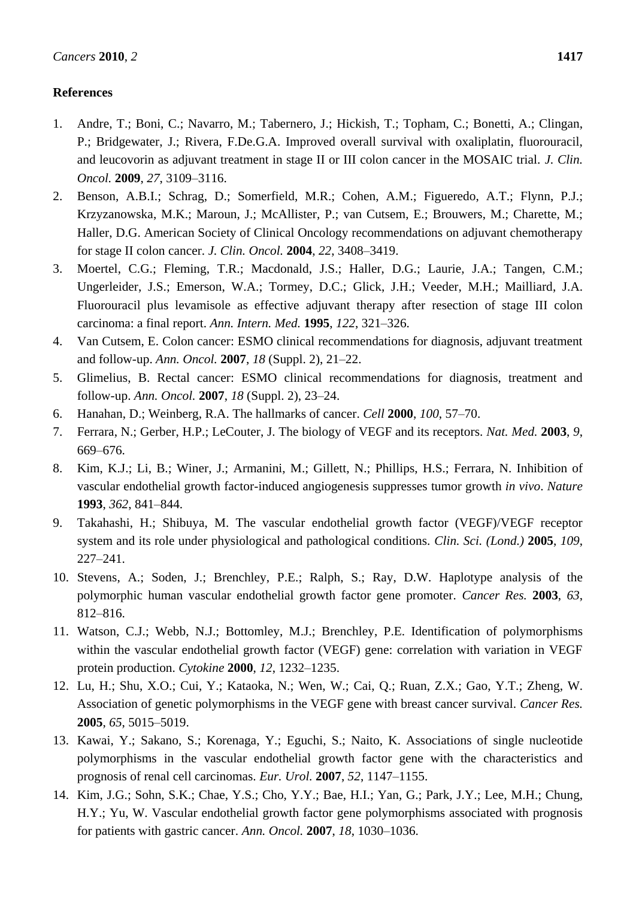# **References**

- 1. Andre, T.; Boni, C.; Navarro, M.; Tabernero, J.; Hickish, T.; Topham, C.; Bonetti, A.; Clingan, P.; Bridgewater, J.; Rivera, F.De.G.A. Improved overall survival with oxaliplatin, fluorouracil, and leucovorin as adjuvant treatment in stage II or III colon cancer in the MOSAIC trial. *J. Clin. Oncol.* **2009**, *27*, 3109–3116.
- 2. Benson, A.B.I.; Schrag, D.; Somerfield, M.R.; Cohen, A.M.; Figueredo, A.T.; Flynn, P.J.; Krzyzanowska, M.K.; Maroun, J.; McAllister, P.; van Cutsem, E.; Brouwers, M.; Charette, M.; Haller, D.G. American Society of Clinical Oncology recommendations on adjuvant chemotherapy for stage II colon cancer. *J. Clin. Oncol.* **2004**, *22*, 3408–3419.
- 3. Moertel, C.G.; Fleming, T.R.; Macdonald, J.S.; Haller, D.G.; Laurie, J.A.; Tangen, C.M.; Ungerleider, J.S.; Emerson, W.A.; Tormey, D.C.; Glick, J.H.; Veeder, M.H.; Mailliard, J.A. Fluorouracil plus levamisole as effective adjuvant therapy after resection of stage III colon carcinoma: a final report. *Ann. Intern. Med.* **1995**, *122*, 321–326.
- 4. Van Cutsem, E. Colon cancer: ESMO clinical recommendations for diagnosis, adjuvant treatment and follow-up. *Ann. Oncol.* **2007**, *18* (Suppl. 2), 21–22.
- 5. Glimelius, B. Rectal cancer: ESMO clinical recommendations for diagnosis, treatment and follow-up. *Ann. Oncol.* **2007**, *18* (Suppl. 2), 23–24.
- 6. Hanahan, D.; Weinberg, R.A. The hallmarks of cancer. *Cell* **2000**, *100*, 57–70.
- 7. Ferrara, N.; Gerber, H.P.; LeCouter, J. The biology of VEGF and its receptors. *Nat. Med.* **2003**, *9*, 669–676.
- 8. Kim, K.J.; Li, B.; Winer, J.; Armanini, M.; Gillett, N.; Phillips, H.S.; Ferrara, N. Inhibition of vascular endothelial growth factor-induced angiogenesis suppresses tumor growth *in vivo*. *Nature* **1993**, *362*, 841–844.
- 9. Takahashi, H.; Shibuya, M. The vascular endothelial growth factor (VEGF)/VEGF receptor system and its role under physiological and pathological conditions. *Clin. Sci. (Lond.)* **2005**, *109*, 227–241.
- 10. Stevens, A.; Soden, J.; Brenchley, P.E.; Ralph, S.; Ray, D.W. Haplotype analysis of the polymorphic human vascular endothelial growth factor gene promoter. *Cancer Res.* **2003**, *63*, 812–816.
- 11. Watson, C.J.; Webb, N.J.; Bottomley, M.J.; Brenchley, P.E. Identification of polymorphisms within the vascular endothelial growth factor (VEGF) gene: correlation with variation in VEGF protein production. *Cytokine* **2000**, *12*, 1232–1235.
- 12. Lu, H.; Shu, X.O.; Cui, Y.; Kataoka, N.; Wen, W.; Cai, Q.; Ruan, Z.X.; Gao, Y.T.; Zheng, W. Association of genetic polymorphisms in the VEGF gene with breast cancer survival. *Cancer Res.* **2005**, *65*, 5015–5019.
- 13. Kawai, Y.; Sakano, S.; Korenaga, Y.; Eguchi, S.; Naito, K. Associations of single nucleotide polymorphisms in the vascular endothelial growth factor gene with the characteristics and prognosis of renal cell carcinomas. *Eur. Urol.* **2007**, *52*, 1147–1155.
- 14. Kim, J.G.; Sohn, S.K.; Chae, Y.S.; Cho, Y.Y.; Bae, H.I.; Yan, G.; Park, J.Y.; Lee, M.H.; Chung, H.Y.; Yu, W. Vascular endothelial growth factor gene polymorphisms associated with prognosis for patients with gastric cancer. *Ann. Oncol.* **2007**, *18*, 1030–1036.